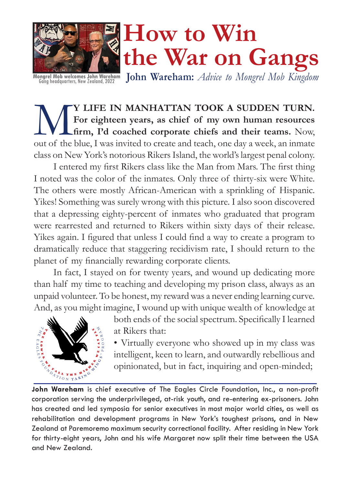

**John Wareham:** *Advice to Mongrel Mob Kingdom* **Mongrel Mob welcomes John Wareham** Gang headquarters, New Zealand, 2022

**WE A SUDDEN TURN.**<br> **CONTAINT TOOK A SUDDEN TURN.**<br> **CONTAINT TOOK A SUDDEN TURN.**<br> **CONTAINT TOOK A SUDDEN TURN.**<br> **CONTAINT TOOK A SUDDEN TURN.**<br> **CONTAINT TOOK A SUDDEN TURN.**<br> **CONTAINT TOOK A SUDDEN TURN.**<br> **CONTAINT For eighteen years, as chief of my own human resources firm, I'd coached corporate chiefs and their teams.** Now, out of the blue, I was invited to create and teach, one day a week, an inmate class on New York's notorious Rikers Island, the world's largest penal colony.

I entered my first Rikers class like the Man from Mars. The first thing I noted was the color of the inmates. Only three of thirty-six were White. The others were mostly African-American with a sprinkling of Hispanic. Yikes! Something was surely wrong with this picture. I also soon discovered that a depressing eighty-percent of inmates who graduated that program were rearrested and returned to Rikers within sixty days of their release. Yikes again. I figured that unless I could find a way to create a program to dramatically reduce that staggering recidivism rate, I should return to the planet of my financially rewarding corporate clients.

In fact, I stayed on for twenty years, and wound up dedicating more than half my time to teaching and developing my prison class, always as an unpaid volunteer. To be honest, my reward was a never ending learning curve. And, as you might imagine, I wound up with unique wealth of knowledge at



both ends of the social spectrum. Specifically I learned at Rikers that:

• Virtually everyone who showed up in my class was intelligent, keen to learn, and outwardly rebellious and opinionated, but in fact, inquiring and open-minded;

**John Wareham** is chief executive of The Eagles Circle Foundation, Inc., a non-profit corporation serving the underprivileged, at-risk youth, and re-entering ex-prisoners. John has created and led symposia for senior executives in most major world cities, as well as rehabilitation and development programs in New York's toughest prisons, and in New Zealand at Paremoremo maximum security correctional facility. After residing in New York for thirty-eight years, John and his wife Margaret now split their time between the USA and New Zealand.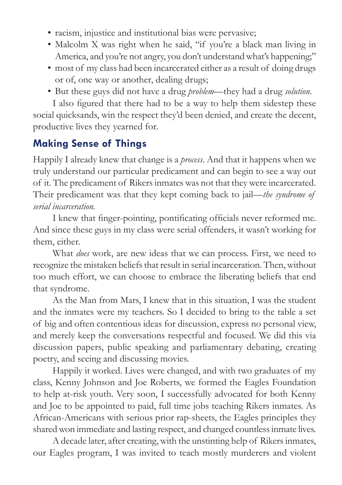- racism, injustice and institutional bias were pervasive;
- Malcolm X was right when he said, "if you're a black man living in America, and you're not angry, you don't understand what's happening;"
- most of my class had been incarcerated either as a result of doing drugs or of, one way or another, dealing drugs;
- But these guys did not have a drug *problem*—they had a drug *solution*.

I also figured that there had to be a way to help them sidestep these social quicksands, win the respect they'd been denied, and create the decent, productive lives they yearned for.

#### **Making Sense of Things**

Happily I already knew that change is a *process*. And that it happens when we truly understand our particular predicament and can begin to see a way out of it. The predicament of Rikers inmates was not that they were incarcerated. Their predicament was that they kept coming back to jail—*the syndrome of serial incarceration.* 

I knew that finger-pointing, pontificating officials never reformed me. And since these guys in my class were serial offenders, it wasn't working for them, either.

What *does* work, are new ideas that we can process. First, we need to recognize the mistaken beliefs that result in serial incarceration. Then, without too much effort, we can choose to embrace the liberating beliefs that end that syndrome.

As the Man from Mars, I knew that in this situation, I was the student and the inmates were my teachers. So I decided to bring to the table a set of big and often contentious ideas for discussion, express no personal view, and merely keep the conversations respectful and focused. We did this via discussion papers, public speaking and parliamentary debating, creating poetry, and seeing and discussing movies.

Happily it worked. Lives were changed, and with two graduates of my class, Kenny Johnson and Joe Roberts, we formed the Eagles Foundation to help at-risk youth. Very soon, I successfully advocated for both Kenny and Joe to be appointed to paid, full time jobs teaching Rikers inmates. As African-Americans with serious prior rap-sheets, the Eagles principles they shared won immediate and lasting respect, and changed countless inmate lives.

A decade later, after creating, with the unstinting help of Rikers inmates, our Eagles program, I was invited to teach mostly murderers and violent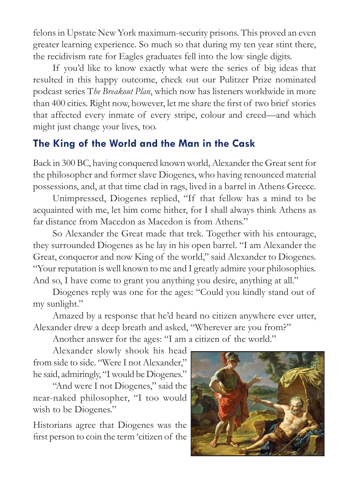felons in Upstate New York maximum-security prisons. This proved an even greater learning experience. So much so that during my ten year stint there, the recidivism rate for Eagles graduates fell into the low single digits.

If you'd like to know exactly what were the series of big ideas that resulted in this happy outcome, check out our Pulitzer Prize nominated podcast series T*he Breakout Plan*, which now has listeners worldwide in more than 400 cities. Right now, however, let me share the first of two brief stories that affected every inmate of every stripe, colour and creed—and which might just change your lives, too.

#### **The King of the World and the Man in the Cask**

Back in 300 BC, having conquered known world, Alexander the Great sent for the philosopher and former slave Diogenes, who having renounced material possessions, and, at that time clad in rags, lived in a barrel in Athens Greece.

Unimpressed, Diogenes replied, "If that fellow has a mind to be acquainted with me, let him come hither, for I shall always think Athens as far distance from Macedon as Macedon is from Athens."

So Alexander the Great made that trek. Together with his entourage, they surrounded Diogenes as he lay in his open barrel. "I am Alexander the Great, conqueror and now King of the world," said Alexander to Diogenes. "Your reputation is well known to me and I greatly admire your philosophies. And so, I have come to grant you anything you desire, anything at all."

Diogenes reply was one for the ages: "Could you kindly stand out of my sunlight."

Amazed by a response that he'd heard no citizen anywhere ever utter, Alexander drew a deep breath and asked, "Wherever are you from?"

Another answer for the ages: "I am a citizen of the world."

Alexander slowly shook his head from side to side. "Were I not Alexander," he said, admiringly, "I would be Diogenes."

"And were I not Diogenes," said the near-naked philosopher, "I too would wish to be Diogenes."

Historians agree that Diogenes was the first person to coin the term 'citizen of the

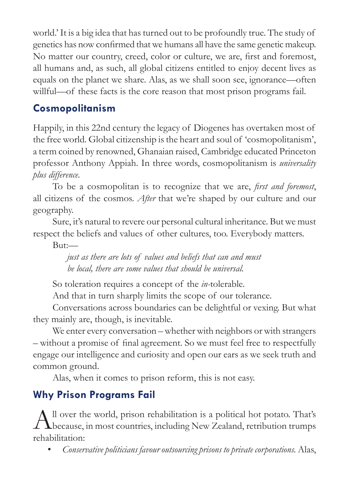world.' It is a big idea that has turned out to be profoundly true. The study of genetics has now confirmed that we humans all have the same genetic makeup. No matter our country, creed, color or culture, we are, first and foremost, all humans and, as such, all global citizens entitled to enjoy decent lives as equals on the planet we share. Alas, as we shall soon see, ignorance—often willful—of these facts is the core reason that most prison programs fail.

### **Cosmopolitanism**

Happily, in this 22nd century the legacy of Diogenes has overtaken most of the free world. Global citizenship is the heart and soul of 'cosmopolitanism', a term coined by renowned, Ghanaian raised, Cambridge educated Princeton professor Anthony Appiah. In three words, cosmopolitanism is *universality plus difference.*

To be a cosmopolitan is to recognize that we are, *first and foremost*, all citizens of the cosmos. *After* that we're shaped by our culture and our geography.

Sure, it's natural to revere our personal cultural inheritance. But we must respect the beliefs and values of other cultures, too. Everybody matters.

But:—

*just as there are lots of values and beliefs that can and must be local, there are some values that should be universal.* 

So toleration requires a concept of the *in-*tolerable.

And that in turn sharply limits the scope of our tolerance.

Conversations across boundaries can be delightful or vexing. But what they mainly are, though, is inevitable.

We enter every conversation – whether with neighbors or with strangers – without a promise of final agreement. So we must feel free to respectfully engage our intelligence and curiosity and open our ears as we seek truth and common ground.

Alas, when it comes to prison reform, this is not easy.

## **Why Prison Programs Fail**

All over the world, prison rehabilitation is a political hot potato. That's because, in most countries, including New Zealand, retribution trumps rehabilitation:

• *Conservative politicians favour outsourcing prisons to private corporations.* Alas,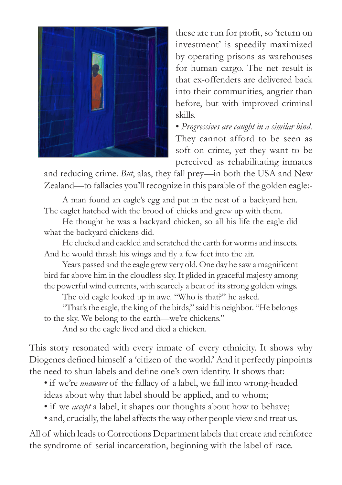

these are run for profit, so 'return on investment' is speedily maximized by operating prisons as warehouses for human cargo. The net result is that ex-offenders are delivered back into their communities, angrier than before, but with improved criminal skills.

• *Progressives are caught in a similar bind.*  They cannot afford to be seen as soft on crime, yet they want to be perceived as rehabilitating inmates

and reducing crime. *But*, alas, they fall prey—in both the USA and New Zealand—to fallacies you'll recognize in this parable of the golden eagle:-

A man found an eagle's egg and put in the nest of a backyard hen. The eaglet hatched with the brood of chicks and grew up with them.

He thought he was a backyard chicken, so all his life the eagle did what the backyard chickens did.

He clucked and cackled and scratched the earth for worms and insects. And he would thrash his wings and fly a few feet into the air.

Years passed and the eagle grew very old. One day he saw a magnificent bird far above him in the cloudless sky. It glided in graceful majesty among the powerful wind currents, with scarcely a beat of its strong golden wings.

The old eagle looked up in awe. "Who is that?" he asked.

"That's the eagle, the king of the birds," said his neighbor. "He belongs to the sky. We belong to the earth—we're chickens."

And so the eagle lived and died a chicken.

This story resonated with every inmate of every ethnicity. It shows why Diogenes defined himself a 'citizen of the world.' And it perfectly pinpoints the need to shun labels and define one's own identity. It shows that:

• if we're *unaware* of the fallacy of a label, we fall into wrong-headed ideas about why that label should be applied, and to whom;

- if we *accept* a label, it shapes our thoughts about how to behave;
- and, crucially, the label affects the way other people view and treat us.

All of which leads to Corrections Department labels that create and reinforce the syndrome of serial incarceration, beginning with the label of race.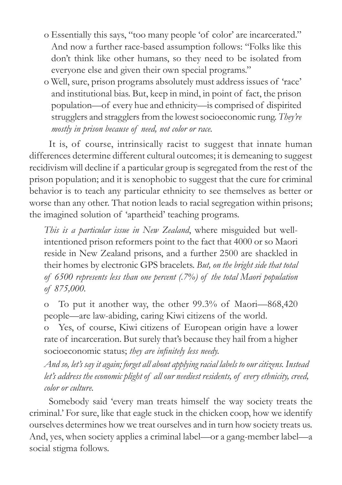- o Essentially this says, "too many people 'of color' are incarcerated." And now a further race-based assumption follows: "Folks like this don't think like other humans, so they need to be isolated from everyone else and given their own special programs."
- o Well, sure, prison programs absolutely must address issues of 'race' and institutional bias. But, keep in mind, in point of fact, the prison population—of every hue and ethnicity—is comprised of dispirited strugglers and stragglers from the lowest socioeconomic rung. *They're mostly in prison because of need, not color or race.*

It is, of course, intrinsically racist to suggest that innate human differences determine different cultural outcomes; it is demeaning to suggest recidivism will decline if a particular group is segregated from the rest of the prison population; and it is xenophobic to suggest that the cure for criminal behavior is to teach any particular ethnicity to see themselves as better or worse than any other. That notion leads to racial segregation within prisons; the imagined solution of 'apartheid' teaching programs.

*This is a particular issue in New Zealand*, where misguided but wellintentioned prison reformers point to the fact that 4000 or so Maori reside in New Zealand prisons, and a further 2500 are shackled in their homes by electronic GPS bracelets. *But, on the bright side that total of 6500 represents less than one percent (.7%) of the total Maori population of 875,000.*

o To put it another way, the other 99.3% of Maori—868,420 people—are law-abiding, caring Kiwi citizens of the world.

o Yes, of course, Kiwi citizens of European origin have a lower rate of incarceration. But surely that's because they hail from a higher socioeconomic status; *they are infinitely less needy.*

*And so, let's say it again; forget all about applying racial labels to our citizens. Instead let's address the economic plight of all our neediest residents, of every ethnicity, creed, color or culture.*

Somebody said 'every man treats himself the way society treats the criminal.' For sure, like that eagle stuck in the chicken coop, how we identify ourselves determines how we treat ourselves and in turn how society treats us. And, yes, when society applies a criminal label—or a gang-member label—a social stigma follows.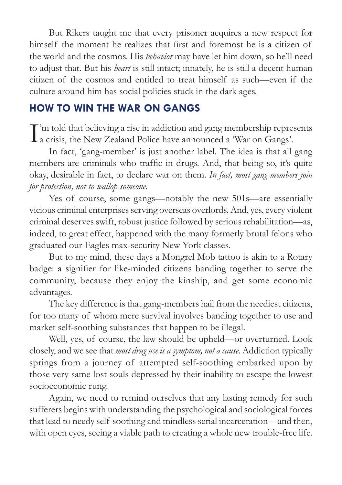But Rikers taught me that every prisoner acquires a new respect for himself the moment he realizes that first and foremost he is a citizen of the world and the cosmos. His *behavior* may have let him down, so he'll need to adjust that. But his *heart* is still intact; innately, he is still a decent human citizen of the cosmos and entitled to treat himself as such—even if the culture around him has social policies stuck in the dark ages.

#### **HOW TO WIN THE WAR ON GANGS**

I'm told that believing a rise in addiction and gang membership repre<br>
a crisis, the New Zealand Police have announced a 'War on Gangs'. T'm told that believing a rise in addiction and gang membership represents

In fact, 'gang-member' is just another label. The idea is that all gang members are criminals who traffic in drugs. And, that being so, it's quite okay, desirable in fact, to declare war on them. *In fact, most gang members join for protection, not to wallop someone.*

Yes of course, some gangs—notably the new 501s—are essentially vicious criminal enterprises serving overseas overlords. And, yes, every violent criminal deserves swift, robust justice followed by serious rehabilitation—as, indeed, to great effect, happened with the many formerly brutal felons who graduated our Eagles max-security New York classes.

But to my mind, these days a Mongrel Mob tattoo is akin to a Rotary badge: a signifier for like-minded citizens banding together to serve the community, because they enjoy the kinship, and get some economic advantages.

The key difference is that gang-members hail from the neediest citizens, for too many of whom mere survival involves banding together to use and market self-soothing substances that happen to be illegal.

Well, yes, of course, the law should be upheld—or overturned. Look closely, and we see that *most drug use is a symptom, not a cause*. Addiction typically springs from a journey of attempted self-soothing embarked upon by those very same lost souls depressed by their inability to escape the lowest socioeconomic rung.

Again, we need to remind ourselves that any lasting remedy for such sufferers begins with understanding the psychological and sociological forces that lead to needy self-soothing and mindless serial incarceration—and then, with open eyes, seeing a viable path to creating a whole new trouble-free life.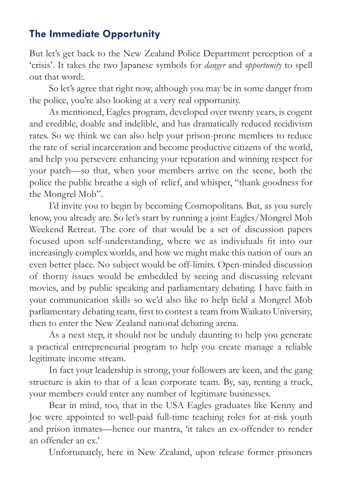#### **The Immediate Opportunity**

But let's get back to the New Zealand Police Department perception of a 'crisis'. It takes the two Japanese symbols for *danger* and *opportunity* to spell out that word:.

So let's agree that right now, although you may be in some danger from the police, you're also looking at a very real opportunity.

As mentioned, Eagles program, developed over twenty years, is cogent and credible, doable and indelible, and has dramatically reduced recidivism rates. So we think we can also help your prison-prone members to reduce the rate of serial incarceration and become productive citizens of the world, and help you persevere enhancing your reputation and winning respect for your patch—so that, when your members arrive on the scene, both the police the public breathe a sigh of relief, and whisper, "thank goodness for the Mongrel Mob".

I'd invite you to begin by becoming Cosmopolitans. But, as you surely know, you already are. So let's start by running a joint Eagles/Mongrel Mob Weekend Retreat. The core of that would be a set of discussion papers focused upon self-understanding, where we as individuals fit into our increasingly complex worlds, and how we might make this nation of ours an even better place. No subject would be off-limits. Open-minded discussion of thorny issues would be embedded by seeing and discussing relevant movies, and by public speaking and parliamentary debating. I have faith in your communication skills so we'd also like to help field a Mongrel Mob parliamentary debating team, first to contest a team from Waikato University, then to enter the New Zealand national debating arena.

As a next step, it should not be unduly daunting to help you generate a practical entrepreneurial program to help you create manage a reliable legitimate income stream.

In fact your leadership is strong, your followers are keen, and the gang structure is akin to that of a lean corporate team. By, say, renting a truck, your members could enter any number of legitimate businesses.

Bear in mind, too, that in the USA Eagles graduates like Kenny and Joe were appointed to well-paid full-time teaching roles for at-risk youth and prison inmates—hence our mantra, 'it takes an ex-offender to render an offender an ex.'

Unfortunately, here in New Zealand, upon release former prisoners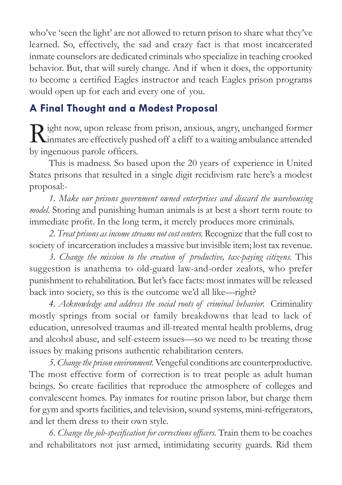who've 'seen the light' are not allowed to return prison to share what they've learned. So, effectively, the sad and crazy fact is that most incarcerated inmate counselors are dedicated criminals who specialize in teaching crooked behavior. But, that will surely change. And if when it does, the opportunity to become a certified Eagles instructor and teach Eagles prison programs would open up for each and every one of you.

### **A Final Thought and a Modest Proposal**

Right now, upon release from prison, anxious, angry, unchanged former<br>inmates are effectively pushed off a cliff to a waiting ambulance attended by ingenuous parole officers.

This is madness. So based upon the 20 years of experience in United States prisons that resulted in a single digit recidivism rate here's a modest proposal:-

*1. Make our prisons government owned enterprises and discard the warehousing model.* Storing and punishing human animals is at best a short term route to immediate profit. In the long term, it merely produces more criminals.

*2. Treat prisons as income streams not cost centers.* Recognize that the full cost to society of incarceration includes a massive but invisible item; lost tax revenue.

*3. Change the mission to the creation of productive, tax-paying citizens.* This suggestion is anathema to old-guard law-and-order zealots, who prefer punishment to rehabilitation. But let's face facts: most inmates will be released back into society, so this is the outcome we'd all like—right?

*4. Acknowledge and address the social roots of criminal behavior.* Criminality mostly springs from social or family breakdowns that lead to lack of education, unresolved traumas and ill-treated mental health problems, drug and alcohol abuse, and self-esteem issues—so we need to be treating those issues by making prisons authentic rehabilitation centers.

*5. Change the prison environment.* Vengeful conditions are counterproductive. The most effective form of correction is to treat people as adult human beings. So create facilities that reproduce the atmosphere of colleges and convalescent homes. Pay inmates for routine prison labor, but charge them for gym and sports facilities, and television, sound systems, mini-refrigerators, and let them dress to their own style.

*6. Change the job-specification for corrections officers.* Train them to be coaches and rehabilitators not just armed, intimidating security guards. Rid them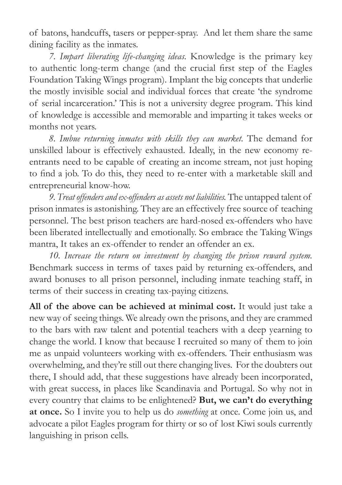of batons, handcuffs, tasers or pepper-spray. And let them share the same dining facility as the inmates.

*7. Impart liberating life-changing ideas.* Knowledge is the primary key to authentic long-term change (and the crucial first step of the Eagles Foundation Taking Wings program). Implant the big concepts that underlie the mostly invisible social and individual forces that create 'the syndrome of serial incarceration.' This is not a university degree program. This kind of knowledge is accessible and memorable and imparting it takes weeks or months not years.

*8. Imbue returning inmates with skills they can market.* The demand for unskilled labour is effectively exhausted. Ideally, in the new economy reentrants need to be capable of creating an income stream, not just hoping to find a job. To do this, they need to re-enter with a marketable skill and entrepreneurial know-how.

*9. Treat offenders and ex-offenders as assets not liabilities.* The untapped talent of prison inmates is astonishing. They are an effectively free source of teaching personnel. The best prison teachers are hard-nosed ex-offenders who have been liberated intellectually and emotionally. So embrace the Taking Wings mantra, It takes an ex-offender to render an offender an ex.

*10. Increase the return on investment by changing the prison reward system.*  Benchmark success in terms of taxes paid by returning ex-offenders, and award bonuses to all prison personnel, including inmate teaching staff, in terms of their success in creating tax-paying citizens.

**All of the above can be achieved at minimal cost.** It would just take a new way of seeing things. We already own the prisons, and they are crammed to the bars with raw talent and potential teachers with a deep yearning to change the world. I know that because I recruited so many of them to join me as unpaid volunteers working with ex-offenders. Their enthusiasm was overwhelming, and they're still out there changing lives. For the doubters out there, I should add, that these suggestions have already been incorporated, with great success, in places like Scandinavia and Portugal. So why not in every country that claims to be enlightened? **But, we can't do everything at once.** So I invite you to help us do *something* at once. Come join us, and advocate a pilot Eagles program for thirty or so of lost Kiwi souls currently languishing in prison cells.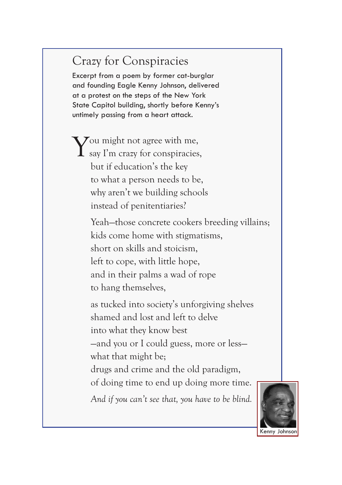# Crazy for Conspiracies

Excerpt from a poem by former cat-burglar and founding Eagle Kenny Johnson, delivered at a protest on the steps of the New York State Capitol building, shortly before Kenny's untimely passing from a heart attack.

You might not agree with me,<br>say I'm crazy for conspiracies, but if education's the key to what a person needs to be, why aren't we building schools instead of penitentiaries?

> Yeah—those concrete cookers breeding villains; kids come home with stigmatisms, short on skills and stoicism, left to cope, with little hope, and in their palms a wad of rope to hang themselves,

as tucked into society's unforgiving shelves shamed and lost and left to delve into what they know best —and you or I could guess, more or less—

what that might be;

drugs and crime and the old paradigm, of doing time to end up doing more time.

*And if you can't see that, you have to be blind.*